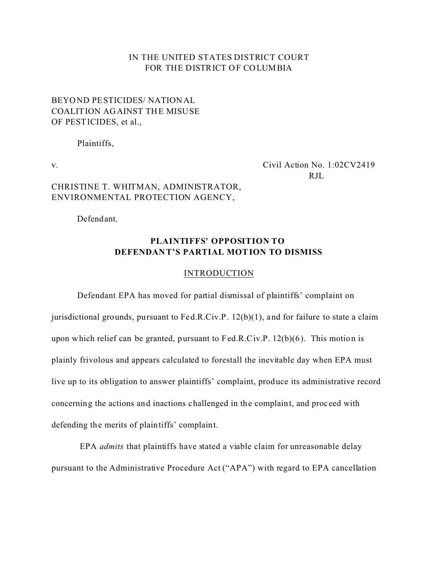### IN THE UNITED STATES DISTRICT COURT FOR THE DISTRICT OF COLUMBIA

## BEYOND PESTICIDES/ NATIONAL COALITION AGAINST THE MISUSE OF PESTICIDES, et al.,

Plaintiffs,

v. Civil Action No. 1:02CV2419 RJL.

# CHRISTINE T. WHITMAN, ADMINISTRATOR, ENVIRONMENTAL PROTECTION AGENCY,

Defendant.

## **PLAINTIFFS' OPPOSITION TO DEFENDANT'S PARTIAL MOTION TO DISMISS**

#### **INTRODUCTION**

Defendant EPA has moved for partial dismissal of plaintiffs' complaint on jurisdictional grounds, pursuant to Fed.R.Civ.P. 12(b)(1), and for failure to state a claim upon which relief can be granted, pursuant to Fed.R.Civ.P. 12(b)(6). This motion is plainly frivolous and appears calculated to forestall the inevitable day when EPA must live up to its obligation to answer plaintiffs' complaint, produce its administrative record concerning the actions and inactions challenged in the complaint, and proc eed with defending the merits of plaintiffs' complaint.

 EPA *admits* that plaintiffs have stated a viable claim for unreasonable delay pursuant to the Administrative Procedure Act ("APA") with regard to EPA cancellation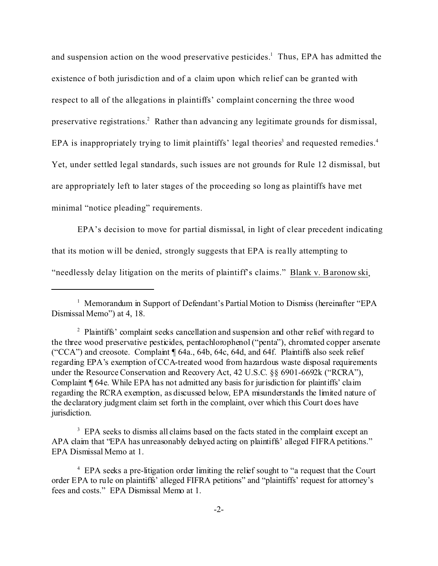and suspension action on the wood preservative pesticides.<sup>1</sup> Thus, EPA has admitted the existence of both jurisdiction and of a claim upon which relief can be granted with respect to all of the allegations in plaintiffs' complaint concerning the three wood preservative registrations.<sup>2</sup> Rather than advancing any legitimate grounds for dismissal, EPA is inappropriately trying to limit plaintiffs' legal theories<sup>3</sup> and requested remedies.<sup>4</sup> Yet, under settled legal standards, such issues are not grounds for Rule 12 dismissal, but are appropriately left to later stages of the proceeding so long as plaintiffs have met minimal "notice pleading" requirements.

EPA's decision to move for partial dismissal, in light of clear precedent indicating that its motion will be denied, strongly suggests that EPA is rea lly attempting to "needlessly delay litigation on the merits of plaintiff's claims." Blank v. Baronowski,

<sup>1</sup> Memorandum in Support of Defendant's Partial Motion to Dismiss (hereinafter "EPA Dismissal Memo") at 4, 18.

<sup>3</sup> EPA seeks to dismiss all claims based on the facts stated in the complaint except an APA claim that "EPA has unreasonably delayed acting on plaintiffs' alleged FIFRA petitions." EPA Dismissal Memo at 1.

<sup>&</sup>lt;sup>2</sup> Plaintiffs' complaint seeks cancellation and suspension and other relief with regard to the three wood preservative pesticides, pentachlorophenol ("penta"), chromated copper arsenate ("CCA") and creosote. Complaint ¶ 64a., 64b, 64c, 64d, and 64f. Plaintiffs also seek relief regarding EPA's exemption of CCA-treated wood from hazardous waste disposal requirements under the Resource Conservation and Recovery Act, 42 U.S.C. §§ 6901-6692k ("RCRA"), Complaint ¶ 64e. While EPA has not admitted any basis for jurisdiction for plaintiffs' claim regarding the RCRA exemption, as discussed below, EPA misunderstands the limited nature of the declaratory judgment claim set forth in the complaint, over which this Court does have jurisdiction.

<sup>&</sup>lt;sup>4</sup> EPA seeks a pre-litigation order limiting the relief sought to "a request that the Court order EPA to rule on plaintiffs' alleged FIFRA petitions" and "plaintiffs' request for attorney's fees and costs." EPA Dismissal Memo at 1.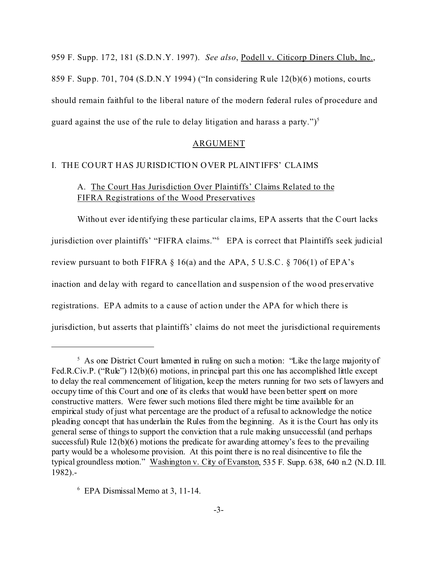959 F. Supp. 172, 181 (S.D.N.Y. 1997). *See also*, Podell v. Citicorp Diners Club, Inc., 859 F. Supp. 701, 704 (S.D.N.Y 1994) ("In considering Rule 12(b)(6) motions, courts should remain faithful to the liberal nature of the modern federal rules of procedure and guard against the use of the rule to delay litigation and harass a party.")<sup>5</sup>

#### ARGUMENT

### I. THE COURT HAS JURISDICTION OVER PLAINTIFFS' CLAIMS

### A. The Court Has Jurisdiction Over Plaintiffs' Claims Related to the FIFRA Registrations of the Wood Preservatives

Without ever identifying these particular cla ims, EPA asserts that the Court lacks jurisdiction over plaintiffs' "FIFRA claims."<sup>6</sup> EPA is correct that Plaintiffs seek judicial review pursuant to both FIFRA  $\S$  16(a) and the APA, 5 U.S.C.  $\S$  706(1) of EPA's inaction and de lay with regard to cancellation and suspension of the wood pres ervative registrations. EPA admits to a c ause of action under the APA for which there is jurisdiction, but asserts that plaintiffs' claims do not meet the jurisdictional requirements

<sup>&</sup>lt;sup>5</sup> As one District Court lamented in ruling on such a motion: "Like the large majority of Fed.R.Civ.P. ("Rule") 12(b)(6) motions, in principal part this one has accomplished little except to delay the real commencement of litigation, keep the meters running for two sets of lawyers and occupy time of this Court and one of its clerks that would have been better spent on more constructive matters. Were fewer such motions filed there might be time available for an empirical study of just what percentage are the product of a refusal to acknowledge the notice pleading concept that has underlain the Rules from the beginning. As it is the Court has only its general sense of things to support the conviction that a rule making unsuccessful (and perhaps successful) Rule 12(b)(6) motions the predicate for awarding attorney's fees to the prevailing party would be a wholesome provision. At this point there is no real disincentive to file the typical groundless motion." Washington v. City of Evanston, 535 F. Supp. 638, 640 n.2 (N.D. Ill. 1982).-

<sup>6</sup> EPA Dismissal Memo at 3, 11-14.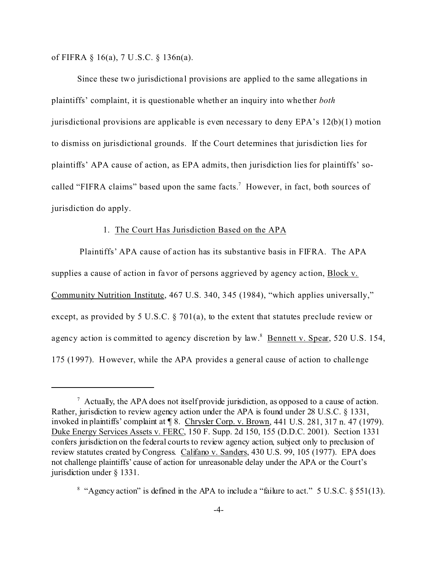of FIFRA § 16(a), 7 U.S.C. § 136n(a).

Since these two jurisdictional provisions are applied to the same allegations in plaintiffs' complaint, it is questionable whether an inquiry into whe ther *both* jurisdictional provisions are applicable is even necessary to deny  $EPA's 12(b)(1)$  motion to dismiss on jurisdictional grounds. If the Court determines that jurisdiction lies for plaintiffs' APA cause of action, as EPA admits, then jurisdiction lies for plaintiffs' socalled "FIFRA claims" based upon the same facts.<sup>7</sup> However, in fact, both sources of jurisdiction do apply.

### 1. The Court Has Jurisdiction Based on the APA

 Plaintiffs' APA cause of action has its substantive basis in FIFRA. The APA supplies a cause of action in favor of persons aggrieved by agency ac tion, Block v. Community Nutrition Institute, 467 U.S. 340, 345 (1984), "which applies universally," except, as provided by 5 U.S.C. § 701(a), to the extent that statutes preclude review or agency action is committed to agency discretion by law.<sup>8</sup> Bennett v. Spear, 520 U.S. 154, 175 (1997). However, while the APA provides a general cause of action to challenge

 $^7$  Actually, the APA does not itself provide jurisdiction, as opposed to a cause of action. Rather, jurisdiction to review agency action under the APA is found under 28 U.S.C. § 1331, invoked in plaintiffs' complaint at ¶ 8. Chrysler Corp. v. Brown, 441 U.S. 281, 317 n. 47 (1979). Duke Energy Services Assets v. FERC, 150 F. Supp. 2d 150, 155 (D.D.C. 2001). Section 1331 confers jurisdiction on the federal courts to review agency action, subject only to preclusion of review statutes created by Congress. Califano v. Sanders, 430 U.S. 99, 105 (1977). EPA does not challenge plaintiffs' cause of action for unreasonable delay under the APA or the Court's jurisdiction under § 1331.

<sup>&</sup>lt;sup>8</sup> "Agency action" is defined in the APA to include a "failure to act." 5 U.S.C.  $\S 551(13)$ .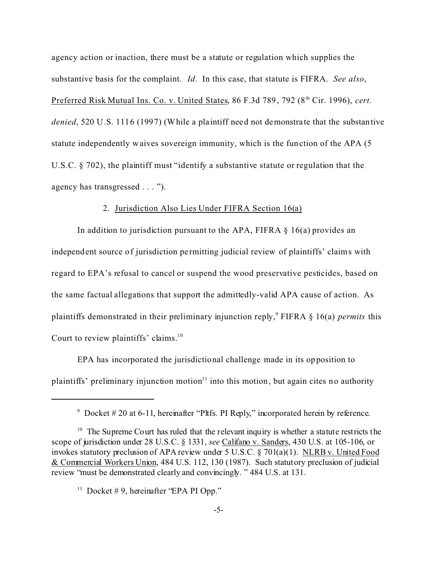agency action or inaction, there must be a statute or regulation which supplies the substantive basis for the complaint. *Id.* In this case, that statute is FIFRA. *See also*, Preferred Risk Mutual Ins. Co. v. United States, 86 F.3d 789, 792 (8<sup>th</sup> Cir. 1996), *cert. denied*, 520 U.S. 1116 (1997) (While a plaintiff need not demonstrate that the substantive statute independently waives sovereign immunity, which is the function of the APA (5 U.S.C. § 702), the plaintiff must "identify a substantive statute or regulation that the agency has transgressed . . . ").

### 2. Jurisdiction Also Lies Under FIFRA Section 16(a)

In addition to jurisdiction pursuant to the APA, FIFRA  $\S$  16(a) provides an independent source of jurisdiction pe rmitting judicial review of plaintiffs' claims with regard to EPA's refusal to cancel or suspend the wood preservative pesticides, based on the same factual allegations that support the admittedly-valid APA cause of action. As plaintiffs demonstrated in their preliminary injunction reply,<sup>9</sup> FIFRA § 16(a) *permits* this Court to review plaintiffs' claims.<sup>10</sup>

EPA has incorporated the jurisdictional challenge made in its opposition to plaintiffs' preliminary injunction motion $11$  into this motion, but again cites no authority

<sup>&</sup>lt;sup>9</sup> Docket # 20 at 6-11, hereinafter "Pltfs. PI Reply," incorporated herein by reference.

 $10$  The Supreme Court has ruled that the relevant inquiry is whether a statute restricts the scope of jurisdiction under 28 U.S.C. § 1331, *see* Califano v. Sanders, 430 U.S. at 105-106, or invokes statutory preclusion of APA review under 5 U.S.C. § 701(a)(1). NLRB v. United Food & Commercial Workers Union, 484 U.S. 112, 130 (1987). Such statutory preclusion of judicial review "must be demonstrated clearly and convincingly. " 484 U.S. at 131.

<sup>&</sup>lt;sup>11</sup> Docket #9, hereinafter "EPA PI Opp."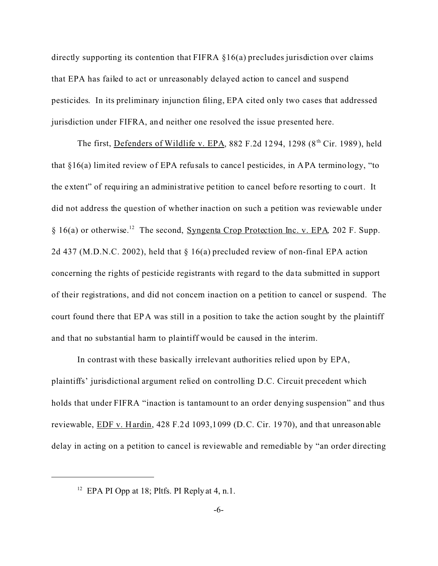directly supporting its contention that FIFRA §16(a) precludes jurisdiction over claims that EPA has failed to act or unreasonably delayed action to cancel and suspend pesticides. In its preliminary injunction filing, EPA cited only two cases that addressed jurisdiction under FIFRA, and neither one resolved the issue presented here.

The first, Defenders of Wildlife v. EPA, 882 F.2d 1294, 1298 (8<sup>th</sup> Cir. 1989), held that  $§16(a)$  limited review of EPA refusals to cancel pesticides, in APA terminology, "to the extent" of requiring an administrative pe tition to cancel before resorting to court. It did not address the question of whether inaction on such a petition was reviewable under § 16(a) or otherwise.<sup>12</sup> The second, Syngenta Crop Protection Inc. v. EPA*,* 202 F. Supp. 2d 437 (M.D.N.C. 2002), held that § 16(a) precluded review of non-final EPA action concerning the rights of pesticide registrants with regard to the data submitted in support of their registrations, and did not concern inaction on a petition to cancel or suspend. The court found there that EPA was still in a position to take the action sought by the plaintiff and that no substantial harm to plaintiff would be caused in the interim.

In contrast with these basically irrelevant authorities relied upon by EPA, plaintiffs' jurisdictional argument relied on controlling D.C. Circuit precedent which holds that under FIFRA "inaction is tantamount to an order denying suspension" and thus reviewable, EDF v. Hardin, 428 F.2d 1093,1099 (D.C. Cir. 1970), and that unreasonable delay in acting on a petition to cancel is reviewable and remediable by "an order directing

<sup>&</sup>lt;sup>12</sup> EPA PI Opp at 18; Pltfs. PI Reply at 4, n.1.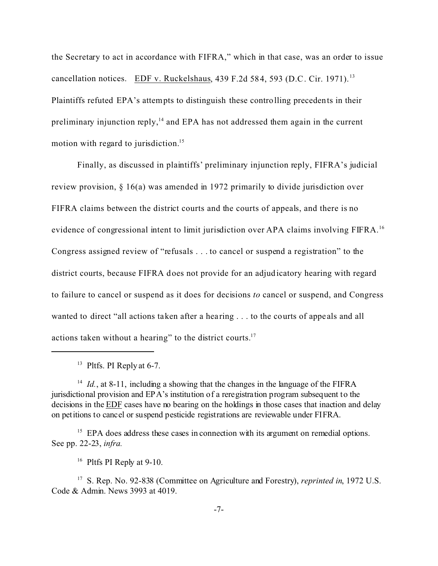the Secretary to act in accordance with FIFRA," which in that case, was an order to issue cancellation notices. EDF v. Ruckelshaus, 439 F.2d 584, 593 (D.C. Cir. 1971). <sup>13</sup> Plaintiffs refuted EPA's attempts to distinguish these controlling precedents in their preliminary injunction reply, $14$  and EPA has not addressed them again in the current motion with regard to jurisdiction.<sup>15</sup>

Finally, as discussed in plaintiffs' preliminary injunction reply, FIFRA's judicial review provision, § 16(a) was amended in 1972 primarily to divide jurisdiction over FIFRA claims between the district courts and the courts of appeals, and there is no evidence of congressional intent to limit jurisdiction over APA claims involving FIFRA.<sup>16</sup> Congress assigned review of "refusals . . . to cancel or suspend a registration" to the district courts, because FIFRA does not provide for an adjudicatory hearing with regard to failure to cancel or suspend as it does for decisions *to* cancel or suspend, and Congress wanted to direct "all actions taken after a hearing . . . to the courts of appeals and all actions taken without a hearing" to the district courts.17

 $13$  Pltfs. PI Reply at 6-7.

<sup>&</sup>lt;sup>14</sup> *Id.*, at 8-11, including a showing that the changes in the language of the FIFRA jurisdictional provision and EPA's institution of a reregistration program subsequent to the decisions in the EDF cases have no bearing on the holdings in those cases that inaction and delay on petitions to cancel or suspend pesticide registrations are reviewable under FIFRA.

<sup>&</sup>lt;sup>15</sup> EPA does address these cases in connection with its argument on remedial options. See pp. 22-23, *infra.*

<sup>&</sup>lt;sup>16</sup> Pltfs PI Reply at 9-10.

<sup>17</sup> S. Rep. No. 92-838 (Committee on Agriculture and Forestry), *reprinted in*, 1972 U.S. Code & Admin. News 3993 at 4019.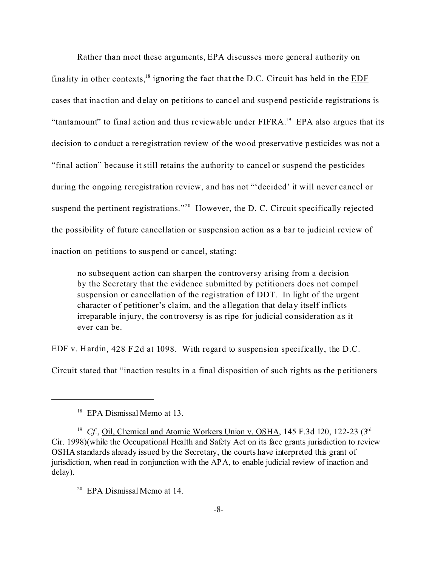Rather than meet these arguments, EPA discusses more general authority on finality in other contexts, $18$  ignoring the fact that the D.C. Circuit has held in the EDF cases that ina ction and delay on pe titions to cancel and suspend pesticide registrations is "tantamount" to final action and thus reviewable under  $FIFRA$ <sup>19</sup> EPA also argues that its decision to conduct a re registration review of the wood preservative pesticides was not a "final action" because it still retains the authority to cancel or suspend the pesticides during the ongoing reregistration review, and has not "'decided' it will never cancel or suspend the pertinent registrations."<sup>20</sup> However, the D. C. Circuit specifically rejected the possibility of future cancellation or suspension action as a bar to judicial review of inaction on petitions to suspend or cancel, stating:

no subsequent action can sharpen the controversy arising from a decision by the Secretary that the evidence submitted by petitioners does not compel suspension or cancellation of the registration of DDT. In light of the urgent character of petitioner's claim, and the a llegation that delay itself inflicts irreparable injury, the controversy is as ripe for judicial consideration as it ever can be.

EDF v. Hardin, 428 F.2d at 1098. With regard to suspension specifically, the D.C.

Circuit stated that "inaction results in a final disposition of such rights as the petitioners

<sup>&</sup>lt;sup>18</sup> EPA Dismissal Memo at 13.

<sup>&</sup>lt;sup>19</sup> Cf., Oil, Chemical and Atomic Workers Union v. OSHA, 145 F.3d 120, 122-23 (3<sup>rd</sup>) Cir. 1998)(while the Occupational Health and Safety Act on its face grants jurisdiction to review OSHA standards already issued by the Secretary, the courts have interpreted this grant of jurisdiction, when read in conjunction with the APA, to enable judicial review of inaction and delay).

<sup>20</sup> EPA Dismissal Memo at 14.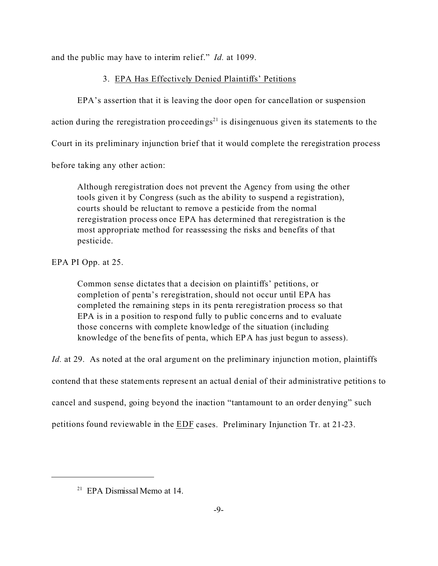and the public may have to interim relief." *Id.* at 1099.

# 3. EPA Has Effectively Denied Plaintiffs' Petitions

EPA's assertion that it is leaving the door open for cancellation or suspension action during the reregistration proceedings<sup>21</sup> is disingenuous given its statements to the Court in its preliminary injunction brief that it would complete the reregistration process before taking any other action:

Although reregistration does not prevent the Agency from using the other tools given it by Congress (such as the ability to suspend a registration), courts should be reluctant to remove a pesticide from the normal reregistration process once EPA has determined that reregistration is the most appropriate method for reassessing the risks and benefits of that pesticide.

EPA PI Opp. at 25.

Common sense dictates that a decision on plaintiffs' petitions, or completion of penta's reregistration, should not occur until EPA has completed the remaining steps in its penta reregistration process so that EPA is in a position to respond fully to public conc erns and to evaluate those concerns with complete knowledge of the situation (including knowledge of the bene fits of penta, which EPA has just begun to assess).

*Id.* at 29. As noted at the oral argument on the preliminary injunction motion, plaintiffs

contend that these statements represent an actual denial of their administrative petitions to

cancel and suspend, going beyond the inaction "tantamount to an order denying" such

petitions found reviewable in the EDF cases. Preliminary Injunction Tr. at 21-23.

<sup>&</sup>lt;sup>21</sup> EPA Dismissal Memo at 14.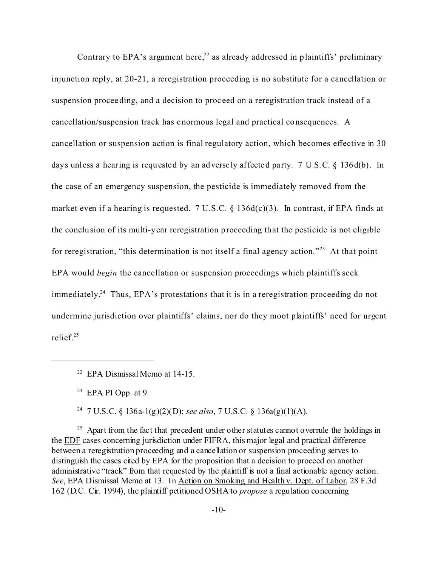Contrary to EPA's argument here,<sup>22</sup> as already addressed in plaintiffs' preliminary injunction reply, at 20-21, a reregistration proceeding is no substitute for a cancellation or suspension proceeding, and a decision to proceed on a reregistration track instead of a cancellation/suspension track has enormous legal and practical consequences. A cancellation or suspension action is final regulatory action, which becomes effective in 30 days unless a hearing is requested by an adversely affected party. 7 U.S.C. § 136d(b). In the case of an emergency suspension, the pesticide is immediately removed from the market even if a hearing is requested. 7 U.S.C.  $\S$  136d(c)(3). In contrast, if EPA finds at the conclusion of its multi-year reregistration proceeding that the pesticide is not eligible for reregistration, "this determination is not itself a final agency action."<sup>23</sup> At that point EPA would *begin* the cancellation or suspension proceedings which plaintiffs seek immediately.<sup>24</sup> Thus, EPA's protestations that it is in a reregistration proceeding do not undermine jurisdiction over plaintiffs' claims, nor do they moot plaintiffs' need for urgent relief.25

<sup>24</sup> 7 U.S.C. § 136a-1(g)(2)(D); *see also*, 7 U.S.C. § 136a(g)(1)(A).

 $^{25}$  Apart from the fact that precedent under other statutes cannot overrule the holdings in the EDF cases concerning jurisdiction under FIFRA, this major legal and practical difference between a reregistration proceeding and a cancellation or suspension proceeding serves to distinguish the cases cited by EPA for the proposition that a decision to proceed on another administrative "track" from that requested by the plaintiff is not a final actionable agency action. *See*, EPA Dismissal Memo at 13. In Action on Smoking and Health v. Dept. of Labor, 28 F.3d 162 (D.C. Cir. 1994), the plaintiff petitioned OSHA to *propose* a regulation concerning

<sup>22</sup> EPA Dismissal Memo at 14-15.

 $23$  EPA PI Opp. at 9.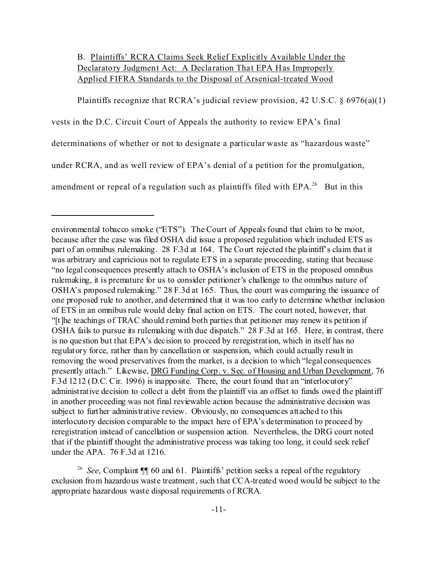# B. Plaintiffs' RCRA Claims Seek Relief Explicitly Available Under the Declaratory Judgment Act: A Declaration That EPA Has Improperly Applied FIFRA Standards to the Disposal of Arsenical-treated Wood

Plaintiffs recognize that RCRA's judicial review provision, 42 U.S.C.  $\S 6976(a)(1)$ 

vests in the D.C. Circuit Court of Appeals the authority to review EPA's final

determinations of whether or not to designate a particular waste as "hazardous waste"

under RCRA, and as well review of EPA's denial of a petition for the promulgation,

amendment or repeal of a regulation such as plaintiffs filed with  $EPA<sup>26</sup>$  But in this

environmental tobacco smoke ("ETS"). The Court of Appeals found that claim to be moot, because after the case was filed OSHA did issue a proposed regulation which included ETS as part of an omnibus rulemaking. 28 F.3d at 164. The Court rejected the plaintiff's claim that it was arbitrary and capricious not to regulate ETS in a separate proceeding, stating that because "no legal consequences presently attach to OSHA's inclusion of ETS in the proposed omnibus rulemaking, it is premature for us to consider petitioner's challenge to the omnibus nature of OSHA's proposed rulemaking." 28 F.3d at 165. Thus, the court was comparing the issuance of one proposed rule to another, and determined that it was too early to determine whether inclusion of ETS in an omnibus rule would delay final action on ETS. The court noted, however, that "[t]he teachings of TRAC should remind both parties that petitioner may renew its petition if OSHA fails to pursue its rulemaking with due dispatch." 28 F.3d at 165. Here, in contrast, there is no question but that EPA's decision to proceed by reregistration, which in itself has no regulatory force, rather than by cancellation or suspension, which could actually result in removing the wood preservatives from the market, is a decision to which "legal consequences presently attach." Likewise, DRG Funding Corp. v. Sec. of Housing and Urban Development, 76 F.3d 1212 (D.C. Cir. 1996) is inapposite. There, the court found that an "interlocutory" administrative decision to collect a debt from the plaintiff via an offset to funds owed the plaintiff in another proceeding was not final reviewable action because the administrative decision was subject to further administrative review. Obviously, no consequences attached to this interlocutory decision comparable to the impact here of EPA's determination to proceed by reregistration instead of cancellation or suspension action. Nevertheless, the DRG court noted that if the plaintiff thought the administrative process was taking too long, it could seek relief under the APA. 76 F.3d at 1216.

<sup>&</sup>lt;sup>26</sup> See, Complaint **[1]** 60 and 61. Plaintiffs' petition seeks a repeal of the regulatory exclusion from hazardous waste treatment, such that CCA-treated wood would be subject to the appropriate hazardous waste disposal requirements of RCRA.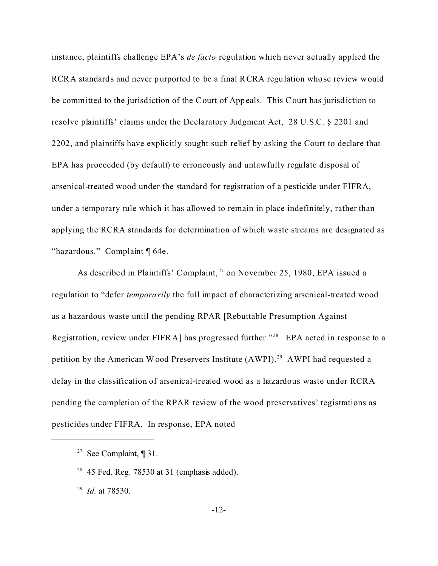instance, plaintiffs challenge EPA's *de facto* regulation which never actually applied the RCRA standards and never purported to be a final RCRA regulation whose review would be committed to the jurisdiction of the Court of Appeals. This Court has jurisdiction to resolve plaintiffs' claims under the Declaratory Judgment Act, 28 U.S.C. § 2201 and 2202, and plaintiffs have explicitly sought such relief by asking the Court to declare that EPA has proceeded (by default) to erroneously and unlawfully regulate disposal of arsenical-treated wood under the standard for registration of a pesticide under FIFRA, under a temporary rule which it has allowed to remain in place indefinitely, rather than applying the RCRA standards for determination of which waste streams are designated as "hazardous." Complaint ¶ 64e.

As described in Plaintiffs' Complaint,<sup>27</sup> on November 25, 1980, EPA issued a regulation to "defer *temporarily* the full impact of characterizing arsenical-treated wood as a hazardous waste until the pending RPAR [Rebuttable Presumption Against Registration, review under FIFRA] has progressed further."<sup>28</sup> EPA acted in response to a petition by the American Wood Preservers Institute (AWPI). <sup>29</sup> AWPI had requested a delay in the classification of arsenical-treated wood as a hazardous waste under RCRA pending the completion of the RPAR review of the wood preservatives' registrations as pesticides under FIFRA. In response, EPA noted

<sup>&</sup>lt;sup>27</sup> See Complaint,  $\P$  31.

 $28$  45 Fed. Reg. 78530 at 31 (emphasis added).

<sup>29</sup> *Id.* at 78530.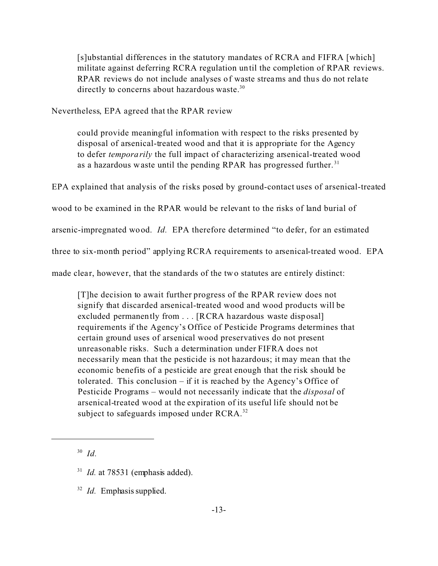[s]ubstantial differences in the statutory mandates of RCRA and FIFRA [which] militate against deferring RCRA regulation until the completion of RPAR reviews. RPAR reviews do not include analyses of waste streams and thus do not relate directly to concerns about hazardous waste.<sup>30</sup>

Nevertheless, EPA agreed that the RPAR review

could provide meaningful information with respect to the risks presented by disposal of arsenical-treated wood and that it is appropriate for the Agency to defer *temporarily* the full impact of characterizing arsenical-treated wood as a hazardous waste until the pending RPAR has progressed further.<sup>31</sup>

EPA explained that analysis of the risks posed by ground-contact uses of arsenical-treated

wood to be examined in the RPAR would be relevant to the risks of land burial of

arsenic-impregnated wood. *Id.* EPA therefore determined "to defer, for an estimated

three to six-month period" applying RCRA requirements to arsenical-treated wood. EPA

made clear, however, that the standards of the two statutes are entirely distinct:

[T]he decision to await further progress of the RPAR review does not signify that discarded arsenical-treated wood and wood products will be excluded permanently from . . . [RCRA hazardous waste disposal] requirements if the Agency's Office of Pesticide Programs determines that certain ground uses of arsenical wood preservatives do not present unreasonable risks. Such a determination under FIFRA does not necessarily mean that the pesticide is not hazardous; it may mean that the economic benefits of a pesticide are great enough that the risk should be tolerated. This conclusion – if it is reached by the Agency's Office of Pesticide Programs – would not necessarily indicate that the *disposal* of arsenical-treated wood at the expiration of its useful life should not be subject to safeguards imposed under RCRA.<sup>32</sup>

<sup>30</sup> *Id.*

<sup>&</sup>lt;sup>31</sup> *Id.* at 78531 (emphasis added).

<sup>32</sup> *Id.* Emphasis supplied.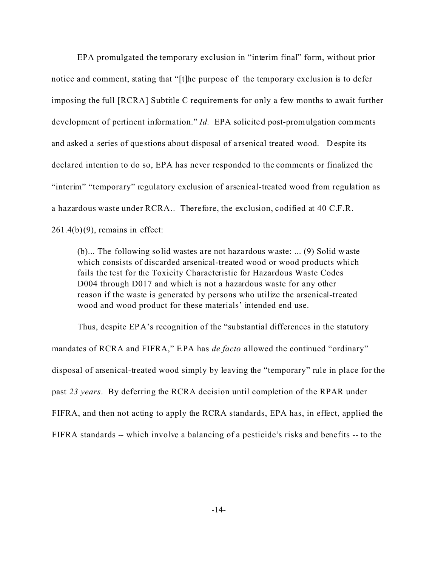EPA promulgated the temporary exclusion in "interim final" form, without prior notice and comment, stating that "[t]he purpose of the temporary exclusion is to defer imposing the full [RCRA] Subtitle C requirements for only a few months to await further development of pertinent information." *Id.* EPA solicited post-promulgation comments and asked a series of que stions about disposal of a rsenical treated wood. Despite its declared intention to do so, EPA has never responded to the comments or finalized the "interim" "temporary" regulatory exclusion of arsenical-treated wood from regulation as a hazardous waste under RCRA.. Therefore, the exclusion, codified at 40 C.F.R.  $261.4(b)(9)$ , remains in effect:

(b)... The following solid wastes are not haza rdous waste: ... (9) Solid waste which consists of discarded arsenical-treated wood or wood products which fails the test for the Toxicity Characteristic for Hazardous Waste Codes D004 through D017 and which is not a hazardous waste for any other reason if the waste is generated by persons who utilize the arsenical-treated wood and wood product for these materials' intended end use.

Thus, despite EPA's recognition of the "substantial differences in the statutory mandates of RCRA and FIFRA," EPA has *de facto* allowed the continued "ordinary" disposal of arsenical-treated wood simply by leaving the "temporary" rule in place for the past *23 years*. By deferring the RCRA decision until completion of the RPAR under FIFRA, and then not acting to apply the RCRA standards, EPA has, in effect, applied the FIFRA standards -- which involve a balancing of a pesticide's risks and benefits -- to the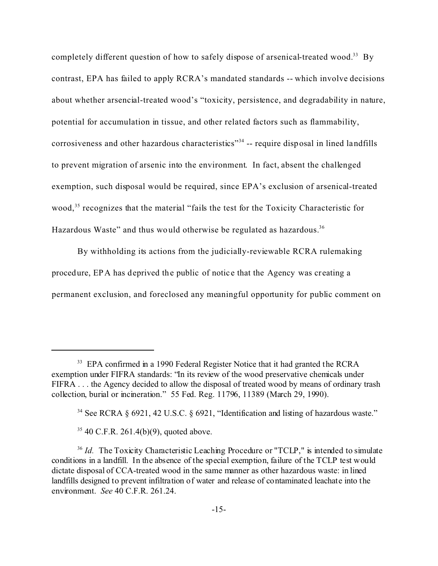completely different question of how to safely dispose of arsenical-treated wood.<sup>33</sup> By contrast, EPA has failed to apply RCRA's mandated standards -- which involve decisions about whether arsencial-treated wood's "toxicity, persistence, and degradability in nature, potential for accumulation in tissue, and other related factors such as flammability, corrosiveness and other hazardous characteristics"<sup>34</sup> -- require disposal in lined landfills to prevent migration of arsenic into the environment. In fact, absent the challenged exemption, such disposal would be required, since EPA's exclusion of arsenical-treated wood,<sup>35</sup> recognizes that the material "fails the test for the Toxicity Characteristic for Hazardous Waste" and thus would otherwise be regulated as hazardous.<sup>36</sup>

By withholding its actions from the judicially-reviewable RCRA rulemaking procedure, EPA has deprived the public of notice that the Agency was creating a permanent exclusion, and foreclosed any meaningful opportunity for public comment on

<sup>&</sup>lt;sup>33</sup> EPA confirmed in a 1990 Federal Register Notice that it had granted the RCRA exemption under FIFRA standards: "In its review of the wood preservative chemicals under FIFRA . . . the Agency decided to allow the disposal of treated wood by means of ordinary trash collection, burial or incineration." 55 Fed. Reg. 11796, 11389 (March 29, 1990).

<sup>&</sup>lt;sup>34</sup> See RCRA § 6921, 42 U.S.C. § 6921, "Identification and listing of hazardous waste."

 $35$  40 C.F.R. 261.4(b)(9), quoted above.

<sup>&</sup>lt;sup>36</sup> *Id.* The Toxicity Characteristic Leaching Procedure or "TCLP," is intended to simulate conditions in a landfill. In the absence of the special exemption, failure of the TCLP test would dictate disposal of CCA-treated wood in the same manner as other hazardous waste: in lined landfills designed to prevent infiltration of water and release of contaminated leachate into the environment. *See* 40 C.F.R. 261.24.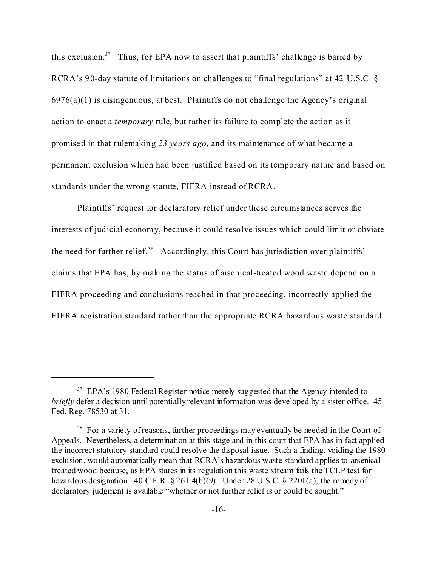this exclusion.<sup>37</sup> Thus, for EPA now to assert that plaintiffs' challenge is barred by RCRA's 90-day statute of limitations on challenges to "final regulations" at 42 U.S.C. §  $6976(a)(1)$  is disingenuous, at best. Plaintiffs do not challenge the Agency's original action to enact a *temporary* rule, but rather its failure to complete the action as it promised in that rulemaking *23 years ago*, and its maintenance of what became a permanent exclusion which had been justified based on its temporary nature and based on standards under the wrong statute, FIFRA instead of RCRA.

Plaintiffs' request for declaratory relief under these circumstances serves the interests of judicial economy, becaus e it could resolve issues which could limit or obviate the need for further relief.<sup>38</sup> Accordingly, this Court has jurisdiction over plaintiffs' claims that EPA has, by making the status of arsenical-treated wood waste depend on a FIFRA proceeding and conclusions reached in that proceeding, incorrectly applied the FIFRA registration standard rather than the appropriate RCRA hazardous waste standard.

 $37$  EPA's 1980 Federal Register notice merely suggested that the Agency intended to *briefly* defer a decision until potentially relevant information was developed by a sister office. 45 Fed. Reg. 78530 at 31.

<sup>&</sup>lt;sup>38</sup> For a variety of reasons, further proceedings may eventually be needed in the Court of Appeals. Nevertheless, a determination at this stage and in this court that EPA has in fact applied the incorrect statutory standard could resolve the disposal issue. Such a finding, voiding the 1980 exclusion, would automatically mean that RCRA's hazardous waste standard applies to arsenicaltreated wood because, as EPA states in its regulation this waste stream fails the TCLP test for hazardous designation. 40 C.F.R.  $\S 261.4(b)(9)$ . Under 28 U.S.C.  $\S 2201(a)$ , the remedy of declaratory judgment is available "whether or not further relief is or could be sought."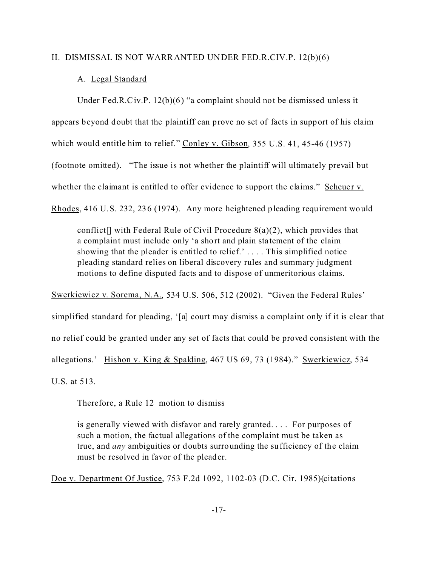#### II. DISMISSAL IS NOT WARRANTED UNDER FED.R.CIV.P. 12(b)(6)

#### A. Legal Standard

Under Fed.R.Civ.P. 12(b)(6) "a complaint should not be dismissed unless it appears beyond doubt that the plaintiff can prove no set of facts in support of his claim which would entitle him to relief." Conley v. Gibson, 355 U.S. 41, 45-46 (1957) (footnote omitted). "The issue is not whether the plaintiff will ultimately prevail but whether the claimant is entitled to offer evidence to support the claims." Scheuer v. Rhodes, 416 U.S. 232, 236 (1974). Any more heightened pleading requirement would

conflict<sup>[]</sup> with Federal Rule of Civil Procedure  $8(a)(2)$ , which provides that a complaint must include only 'a short and plain sta tement of the claim showing that the pleader is entitled to relief.' . . . . This simplified notice pleading standard relies on liberal discovery rules and summary judgment motions to define disputed facts and to dispose of unmeritorious claims.

Swerkiewicz v. Sorema, N.A., 534 U.S. 506, 512 (2002). "Given the Federal Rules' simplified standard for pleading, '[a] court may dismiss a complaint only if it is clear that no relief could be granted under any set of facts that could be proved consistent with the allegations.' Hishon v. King & Spalding, 467 US 69, 73 (1984)." Swerkiewicz, 534 U.S. at 513.

Therefore, a Rule 12 motion to dismiss

is generally viewed with disfavor and rarely granted. . . . For purposes of such a motion, the factual allegations of the complaint must be taken as true, and *any* ambiguities or doubts surrounding the sufficiency of the claim must be resolved in favor of the pleader.

Doe v. Department Of Justice, 753 F.2d 1092, 1102-03 (D.C. Cir. 1985)(citations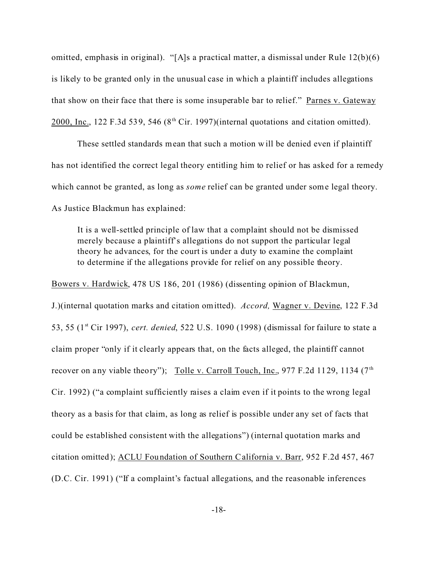omitted, emphasis in original). "[A]s a practical matter, a dismissal under Rule 12(b)(6) is likely to be granted only in the unusual case in which a plaintiff includes allegations that show on their face that there is some insuperable bar to relief." Parnes v. Gateway 2000, Inc., 122 F.3d 539, 546 ( $8<sup>th</sup> Cir.$  1997)(internal quotations and citation omitted).

These settled standards mean that such a motion will be denied even if plaintiff has not identified the correct legal theory entitling him to relief or has asked for a remedy which cannot be granted, as long as *some* relief can be granted under some legal theory. As Justice Blackmun has explained:

It is a well-settled principle of law that a complaint should not be dismissed merely because a plaintiff's allegations do not support the particular legal theory he advances, for the court is under a duty to examine the complaint to determine if the allegations provide for relief on any possible theory.

Bowers v. Hardwick, 478 US 186, 201 (1986) (dissenting opinion of Blackmun,

J.)(internal quotation marks and citation omitted). *Accord,* Wagner v. Devine, 122 F.3d 53, 55 (1st Cir 1997), *cert. denied*, 522 U.S. 1090 (1998) (dismissal for failure to state a claim proper "only if it clearly appears that, on the facts alleged, the plaintiff cannot recover on any viable theory"); Tolle v. Carroll Touch, Inc., 977 F.2d 1129, 1134 ( $7<sup>th</sup>$ Cir. 1992) ("a complaint sufficiently raises a claim even if it points to the wrong legal theory as a basis for that claim, as long as relief is possible under any set of facts that could be established consistent with the allegations") (internal quotation marks and citation omitted); ACLU Foundation of Southern California v. Barr, 952 F.2d 457, 467 (D.C. Cir. 1991) ("If a complaint's factual allegations, and the reasonable inferences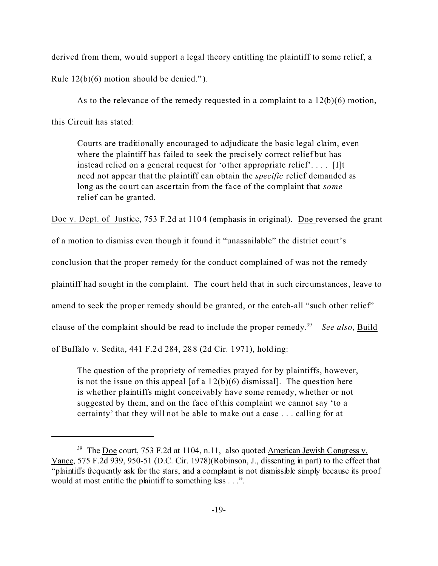derived from them, would support a legal theory entitling the plaintiff to some relief, a Rule 12(b)(6) motion should be denied." ).

As to the relevance of the remedy requested in a complaint to a  $12(b)(6)$  motion, this Circuit has stated:

Courts are traditionally encouraged to adjudicate the basic legal claim, even where the plaintiff has failed to seek the precisely correct relief but has instead relied on a general request for 'other appropriate relief'. . . . [I]t need not appear that the plaintiff can obtain the *specific* relief demanded as long as the court can ascertain from the face of the complaint that *some* relief can be granted.

Doe v. Dept. of Justice, 753 F.2d at 1104 (emphasis in original). Doe reversed the grant

of a motion to dismiss even though it found it "unassailable" the district court's

conclusion that the proper remedy for the conduct complained of was not the remedy

plaintiff had sought in the complaint. The court held that in such circumstances, leave to

amend to seek the proper remedy should be granted, or the catch-all "such other relief"

clause of the complaint should be read to include the proper remedy.<sup>39</sup> See also, Build

of Buffalo v. Sedita, 441 F.2d 284, 288 (2d Cir. 1971), holding:

The question of the propriety of remedies prayed for by plaintiffs, however, is not the issue on this appeal  $[of a 12(b)(6)$  dismissal]. The question here is whether plaintiffs might conceivably have some remedy, whether or not suggested by them, and on the face of this complaint we cannot say 'to a certainty' that they will not be able to make out a case . . . calling for at

<sup>&</sup>lt;sup>39</sup> The Doe court, 753 F.2d at 1104, n.11, also quoted American Jewish Congress v. Vance, 575 F.2d 939, 950-51 (D.C. Cir. 1978)(Robinson, J., dissenting in part) to the effect that "plaintiffs frequently ask for the stars, and a complaint is not dismissible simply because its proof would at most entitle the plaintiff to something less . . .".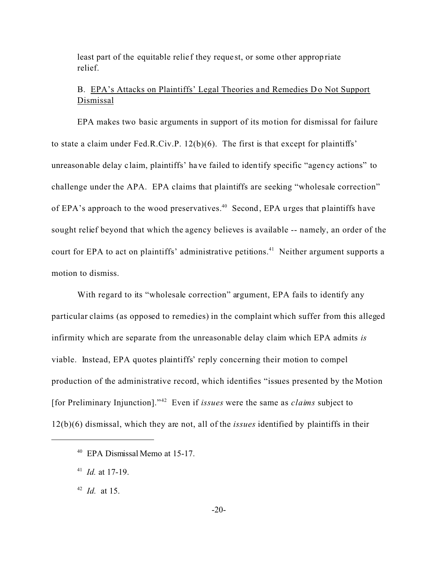least part of the equitable relief they request, or some other appropriate relief.

# B. EPA's Attacks on Plaintiffs' Legal Theories and Remedies Do Not Support Dismissal

EPA makes two basic arguments in support of its motion for dismissal for failure to state a claim under Fed.R.Civ.P. 12(b)(6). The first is that except for plaintiffs' unreasonable delay c laim, plaintiffs' have failed to identify specific "agency actions" to challenge under the APA. EPA claims that plaintiffs are seeking "wholesale correction" of EPA's approach to the wood preservatives.<sup>40</sup> Second, EPA urges that plaintiffs have sought relief beyond that which the agency believes is available -- namely, an order of the court for EPA to act on plaintiffs' administrative petitions.<sup>41</sup> Neither argument supports a motion to dismiss.

With regard to its "wholesale correction" argument, EPA fails to identify any particular claims (as opposed to remedies) in the complaint which suffer from this alleged infirmity which are separate from the unreasonable delay claim which EPA admits *is* viable. Instead, EPA quotes plaintiffs' reply concerning their motion to compel production of the administrative record, which identifies "issues presented by the Motion [for Preliminary Injunction]."<sup>42</sup> Even if *issues* were the same as *claims* subject to 12(b)(6) dismissal, which they are not, all of the *issues* identified by plaintiffs in their

42 *Id.* at 15.

<sup>40</sup> EPA Dismissal Memo at 15-17.

<sup>41</sup> *Id.* at 17-19.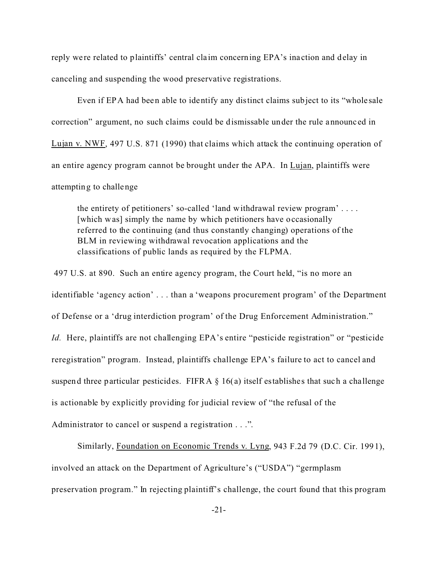reply were related to plaintiffs' central cla im concerning EPA's ina ction and delay in canceling and suspending the wood preservative registrations.

Even if EPA had been able to identify any distinct claims subject to its "whole sale correction" argument, no such claims could be dismissable under the rule announc ed in Lujan v. NWF, 497 U.S. 871 (1990) that claims which attack the continuing operation of an entire agency program cannot be brought under the APA. In Lujan, plaintiffs were attempting to challenge

the entirety of petitioners' so-called 'land withdrawal review program' . . . . [which was] simply the name by which petitioners have occasionally referred to the continuing (and thus constantly changing) operations of the BLM in reviewing withdrawal revocation applications and the classifications of public lands as required by the FLPMA.

 497 U.S. at 890. Such an entire agency program, the Court held, "is no more an identifiable 'agency action' . . . than a 'weapons procurement program' of the Department of Defense or a 'drug interdiction program' of the Drug Enforcement Administration." *Id.* Here, plaintiffs are not challenging EPA's entire "pesticide registration" or "pesticide reregistration" program. Instead, plaintiffs challenge EPA's failure to act to cancel and suspend three particular pesticides. FIFRA  $\S$  16(a) itself establishes that such a challenge is actionable by explicitly providing for judicial review of "the refusal of the Administrator to cancel or suspend a registration . . .".

Similarly, Foundation on Economic Trends v. Lyng, 943 F.2d 79 (D.C. Cir. 1991), involved an attack on the Department of Agriculture's ("USDA") "germplasm preservation program." In rejecting plaintiff's challenge, the court found that this program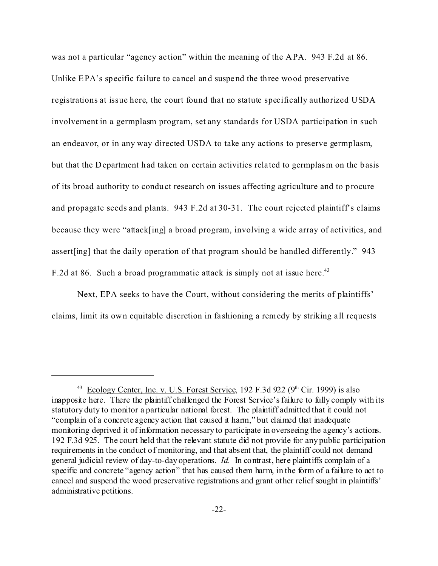was not a particular "agency ac tion" within the meaning of the APA. 943 F.2d at 86. Unlike EPA's specific failure to cancel and suspend the three wood pres ervative registrations at issue here, the court found that no statute specifically authorized USDA involvement in a germplasm program, set any standards for USDA participation in such an endeavor, or in any way directed USDA to take any actions to preserve germplasm, but that the Department had taken on certain activities related to germplasm on the basis of its broad authority to conduct research on issues affecting agriculture and to procure and propagate seeds and plants. 943 F.2d at 30-31. The court rejected plaintiff's claims because they were "attack[ing] a broad program, involving a wide array of activities, and assert[ing] that the daily operation of that program should be handled differently." 943 F.2d at 86. Such a broad programmatic attack is simply not at issue here.<sup>43</sup>

Next, EPA seeks to have the Court, without considering the merits of plaintiffs' claims, limit its own equitable discretion in fa shioning a remedy by striking a ll requests

 $43$  Ecology Center, Inc. v. U.S. Forest Service, 192 F.3d 922 (9<sup>th</sup> Cir. 1999) is also inapposite here. There the plaintiff challenged the Forest Service's failure to fully comply with its statutory duty to monitor a particular national forest. The plaintiff admitted that it could not "complain of a concrete agency action that caused it harm," but claimed that inadequate monitoring deprived it of information necessary to participate in overseeing the agency's actions. 192 F.3d 925. The court held that the relevant statute did not provide for any public participation requirements in the conduct of monitoring, and that absent that, the plaintiff could not demand general judicial review of day-to-day operations. *Id.* In contrast, here plaintiffs complain of a specific and concrete "agency action" that has caused them harm, in the form of a failure to act to cancel and suspend the wood preservative registrations and grant other relief sought in plaintiffs' administrative petitions.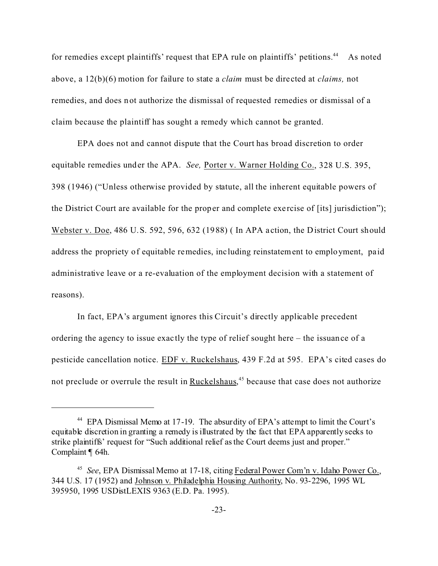for remedies except plaintiffs' request that EPA rule on plaintiffs' petitions.<sup>44</sup> As noted above, a 12(b)(6) motion for failure to state a *claim* must be dire cted at *claims,* not remedies, and does not authorize the dismissal of requested remedies or dismissal of a claim because the plaintiff has sought a remedy which cannot be granted.

EPA does not and cannot dispute that the Court has broad discretion to order equitable remedies under the APA. *See,* Porter v. Warner Holding Co., 328 U.S. 395, 398 (1946) ("Unless otherwise provided by statute, all the inherent equitable powers of the District Court are available for the proper and complete exe rcise of [its] jurisdiction"); Webster v. Doe, 486 U.S. 592, 596, 632 (1988) ( In APA a ction, the District Court should address the propriety of equitable remedies, including reinstatement to employment, paid administrative leave or a re-evaluation of the employment decision with a statement of reasons).

In fact, EPA's argument ignores this Circuit's directly applicable precedent ordering the agency to issue exac tly the type of relief sought here – the issuance of a pesticide cancellation notice. EDF v. Ruckelshaus, 439 F.2d at 595. EPA's cited cases do not preclude or overrule the result in **Ruckelshaus**,<sup>45</sup> because that case does not authorize

<sup>&</sup>lt;sup>44</sup> EPA Dismissal Memo at 17-19. The absurdity of EPA's attempt to limit the Court's equitable discretion in granting a remedy is illustrated by the fact that EPA apparently seeks to strike plaintiffs' request for "Such additional relief as the Court deems just and proper." Complaint ¶ 64h.

<sup>&</sup>lt;sup>45</sup> See, EPA Dismissal Memo at 17-18, citing Federal Power Com'n v. Idaho Power Co., 344 U.S. 17 (1952) and Johnson v. Philadelphia Housing Authority, No. 93-2296, 1995 WL 395950, 1995 USDistLEXIS 9363 (E.D. Pa. 1995).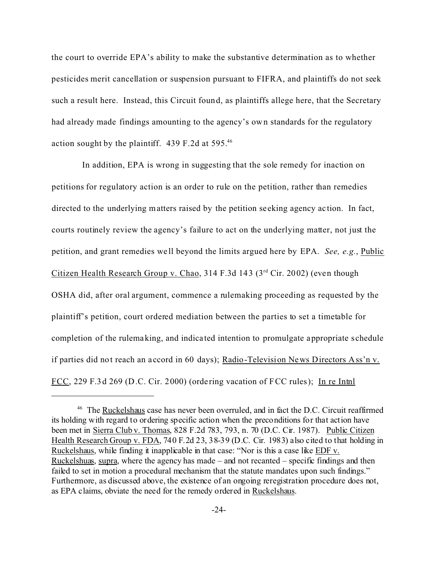the court to override EPA's ability to make the substantive determination as to whether pesticides merit cancellation or suspension pursuant to FIFRA, and plaintiffs do not seek such a result here. Instead, this Circuit found, as plaintiffs allege here, that the Secretary had already made findings amounting to the agency's own standards for the regulatory action sought by the plaintiff. 439 F.2d at 595.<sup>46</sup>

 In addition, EPA is wrong in suggesting that the sole remedy for inaction on petitions for regulatory action is an order to rule on the petition, rather than remedies directed to the underlying matters raised by the petition seeking agency ac tion. In fact, courts routinely review the agency's failure to act on the underlying matter, not just the petition, and grant remedies we ll beyond the limits argued here by EPA. *See, e.g.*, Public Citizen Health Research Group v. Chao, 314 F.3d 143 ( $3<sup>rd</sup>$  Cir. 2002) (even though OSHA did, after oral argument, commence a rulemaking proceeding as requested by the plaintiff's petition, court ordered mediation between the parties to set a timetable for completion of the rulemaking, and indica ted intention to promulgate appropriate s chedule if parties did not reach an accord in 60 days); Radio-Television News Directors Ass'n v. FCC, 229 F.3d 269 (D.C. Cir. 2000) (ordering vacation of FCC rules); In re Intnl

<sup>46</sup> The Ruckelshaus case has never been overruled, and in fact the D.C. Circuit reaffirmed its holding with regard to ordering specific action when the preconditions for that action have been met in Sierra Club v. Thomas, 828 F.2d 783, 793, n. 70 (D.C. Cir. 1987). Public Citizen Health Research Group v. FDA, 740 F.2d 23, 38-39 (D.C. Cir. 1983) also cited to that holding in Ruckelshaus, while finding it inapplicable in that case: "Nor is this a case like EDF v. Ruckelshuas, supra, where the agency has made – and not recanted – specific findings and then failed to set in motion a procedural mechanism that the statute mandates upon such findings." Furthermore, as discussed above, the existence of an ongoing reregistration procedure does not, as EPA claims, obviate the need for the remedy ordered in Ruckelshaus.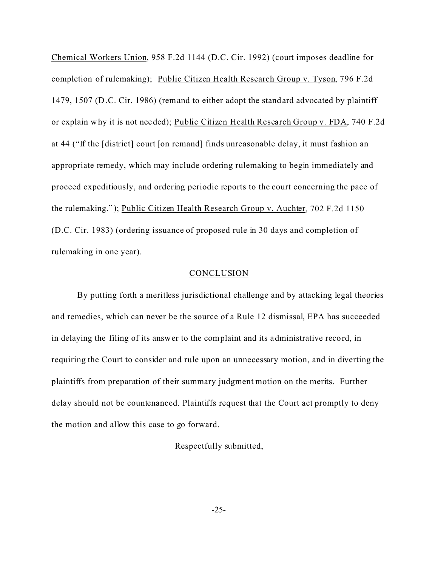Chemical Workers Union, 958 F.2d 1144 (D.C. Cir. 1992) (court imposes deadline for completion of rulemaking); Public Citizen Health Research Group v. Tyson, 796 F.2d 1479, 1507 (D.C. Cir. 1986) (remand to either adopt the standard advocated by plaintiff or explain why it is not needed); Public Citizen Health Research Group v. FDA, 740 F.2d at 44 ("If the [district] court [on remand] finds unreasonable delay, it must fashion an appropriate remedy, which may include ordering rulemaking to begin immediately and proceed expeditiously, and ordering periodic reports to the court concerning the pace of the rulemaking." ); Public Citizen Health Research Group v. Auchter, 702 F.2d 1150 (D.C. Cir. 1983) (ordering issuance of proposed rule in 30 days and completion of rulemaking in one year).

#### CONCLUSION

By putting forth a meritless jurisdictional challenge and by attacking legal theories and remedies, which can never be the source of a Rule 12 dismissal, EPA has succeeded in delaying the filing of its answer to the complaint and its administrative record, in requiring the Court to consider and rule upon an unnecessary motion, and in diverting the plaintiffs from preparation of their summary judgment motion on the merits. Further delay should not be countenanced. Plaintiffs request that the Court act promptly to deny the motion and allow this case to go forward.

Respectfully submitted,